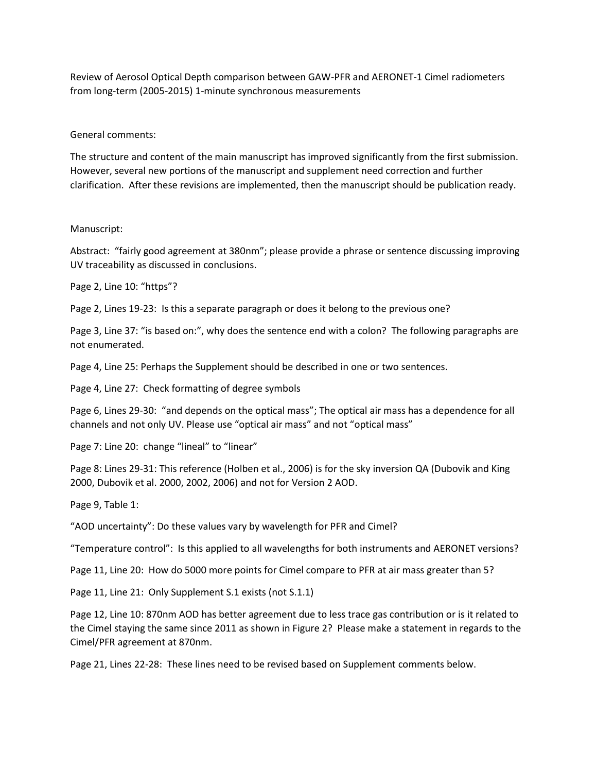Review of Aerosol Optical Depth comparison between GAW-PFR and AERONET-1 Cimel radiometers from long-term (2005-2015) 1-minute synchronous measurements

General comments:

The structure and content of the main manuscript has improved significantly from the first submission. However, several new portions of the manuscript and supplement need correction and further clarification. After these revisions are implemented, then the manuscript should be publication ready.

## Manuscript:

Abstract: "fairly good agreement at 380nm"; please provide a phrase or sentence discussing improving UV traceability as discussed in conclusions.

Page 2, Line 10: "https"?

Page 2, Lines 19-23: Is this a separate paragraph or does it belong to the previous one?

Page 3, Line 37: "is based on:", why does the sentence end with a colon? The following paragraphs are not enumerated.

Page 4, Line 25: Perhaps the Supplement should be described in one or two sentences.

Page 4, Line 27: Check formatting of degree symbols

Page 6, Lines 29-30: "and depends on the optical mass"; The optical air mass has a dependence for all channels and not only UV. Please use "optical air mass" and not "optical mass"

Page 7: Line 20: change "lineal" to "linear"

Page 8: Lines 29-31: This reference (Holben et al., 2006) is for the sky inversion QA (Dubovik and King 2000, Dubovik et al. 2000, 2002, 2006) and not for Version 2 AOD.

Page 9, Table 1:

"AOD uncertainty": Do these values vary by wavelength for PFR and Cimel?

"Temperature control": Is this applied to all wavelengths for both instruments and AERONET versions?

Page 11, Line 20: How do 5000 more points for Cimel compare to PFR at air mass greater than 5?

Page 11, Line 21: Only Supplement S.1 exists (not S.1.1)

Page 12, Line 10: 870nm AOD has better agreement due to less trace gas contribution or is it related to the Cimel staying the same since 2011 as shown in Figure 2? Please make a statement in regards to the Cimel/PFR agreement at 870nm.

Page 21, Lines 22-28: These lines need to be revised based on Supplement comments below.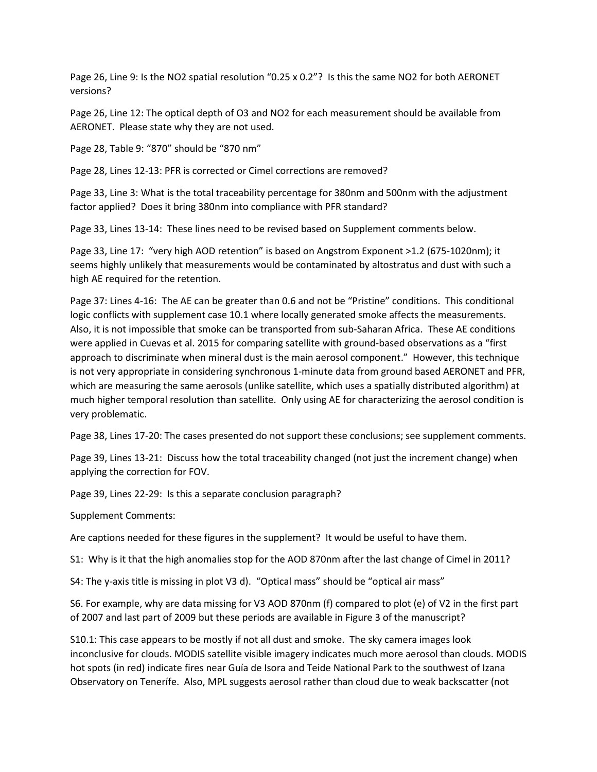Page 26, Line 9: Is the NO2 spatial resolution "0.25 x 0.2"? Is this the same NO2 for both AERONET versions?

Page 26, Line 12: The optical depth of O3 and NO2 for each measurement should be available from AERONET. Please state why they are not used.

Page 28, Table 9: "870" should be "870 nm"

Page 28, Lines 12-13: PFR is corrected or Cimel corrections are removed?

Page 33, Line 3: What is the total traceability percentage for 380nm and 500nm with the adjustment factor applied? Does it bring 380nm into compliance with PFR standard?

Page 33, Lines 13-14: These lines need to be revised based on Supplement comments below.

Page 33, Line 17: "very high AOD retention" is based on Angstrom Exponent >1.2 (675-1020nm); it seems highly unlikely that measurements would be contaminated by altostratus and dust with such a high AE required for the retention.

Page 37: Lines 4-16: The AE can be greater than 0.6 and not be "Pristine" conditions. This conditional logic conflicts with supplement case 10.1 where locally generated smoke affects the measurements. Also, it is not impossible that smoke can be transported from sub-Saharan Africa. These AE conditions were applied in Cuevas et al. 2015 for comparing satellite with ground-based observations as a "first approach to discriminate when mineral dust is the main aerosol component." However, this technique is not very appropriate in considering synchronous 1-minute data from ground based AERONET and PFR, which are measuring the same aerosols (unlike satellite, which uses a spatially distributed algorithm) at much higher temporal resolution than satellite. Only using AE for characterizing the aerosol condition is very problematic.

Page 38, Lines 17-20: The cases presented do not support these conclusions; see supplement comments.

Page 39, Lines 13-21: Discuss how the total traceability changed (not just the increment change) when applying the correction for FOV.

Page 39, Lines 22-29: Is this a separate conclusion paragraph?

Supplement Comments:

Are captions needed for these figures in the supplement? It would be useful to have them.

S1: Why is it that the high anomalies stop for the AOD 870nm after the last change of Cimel in 2011?

S4: The y-axis title is missing in plot V3 d). "Optical mass" should be "optical air mass"

S6. For example, why are data missing for V3 AOD 870nm (f) compared to plot (e) of V2 in the first part of 2007 and last part of 2009 but these periods are available in Figure 3 of the manuscript?

S10.1: This case appears to be mostly if not all dust and smoke. The sky camera images look inconclusive for clouds. MODIS satellite visible imagery indicates much more aerosol than clouds. MODIS hot spots (in red) indicate fires near Guía de Isora and Teide National Park to the southwest of Izana Observatory on Tenerífe. Also, MPL suggests aerosol rather than cloud due to weak backscatter (not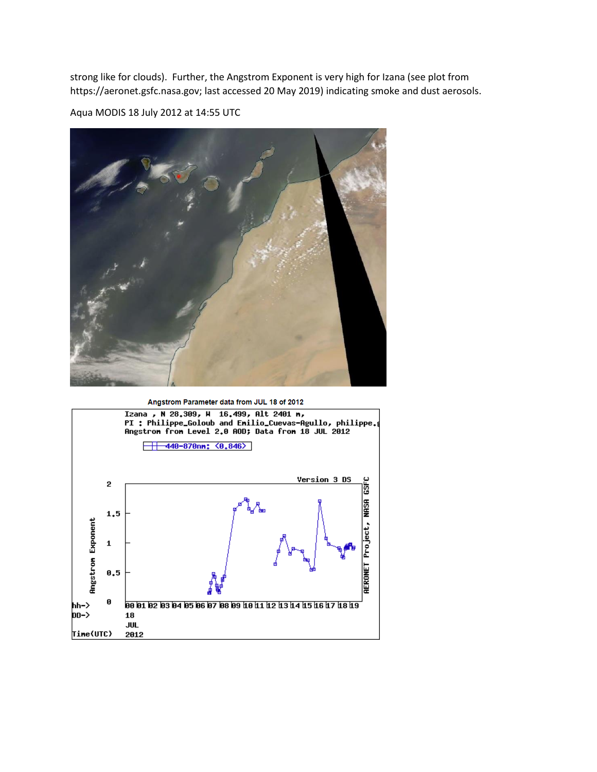strong like for clouds). Further, the Angstrom Exponent is very high for Izana (see plot from https://aeronet.gsfc.nasa.gov; last accessed 20 May 2019) indicating smoke and dust aerosols.

Aqua MODIS 18 July 2012 at 14:55 UTC





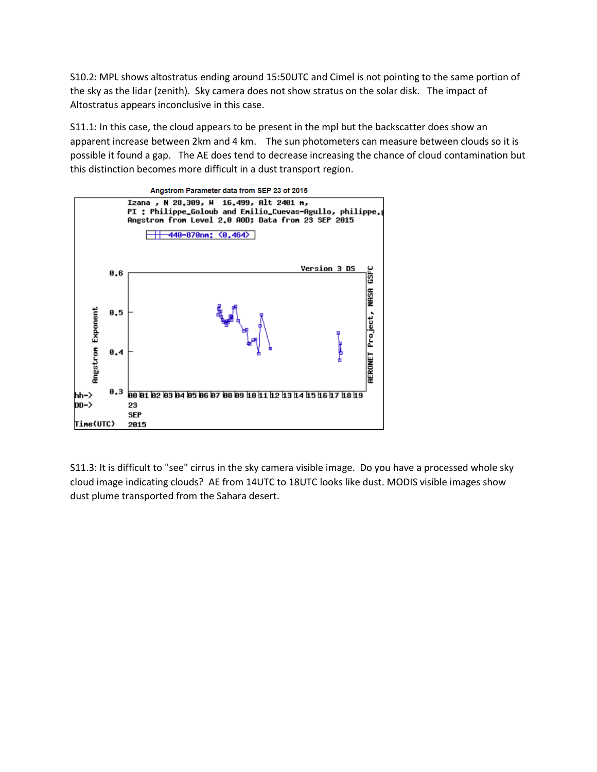S10.2: MPL shows altostratus ending around 15:50UTC and Cimel is not pointing to the same portion of the sky as the lidar (zenith). Sky camera does not show stratus on the solar disk. The impact of Altostratus appears inconclusive in this case.

S11.1: In this case, the cloud appears to be present in the mpl but the backscatter does show an apparent increase between 2km and 4 km. The sun photometers can measure between clouds so it is possible it found a gap. The AE does tend to decrease increasing the chance of cloud contamination but this distinction becomes more difficult in a dust transport region.



S11.3: It is difficult to "see" cirrus in the sky camera visible image. Do you have a processed whole sky cloud image indicating clouds? AE from 14UTC to 18UTC looks like dust. MODIS visible images show dust plume transported from the Sahara desert.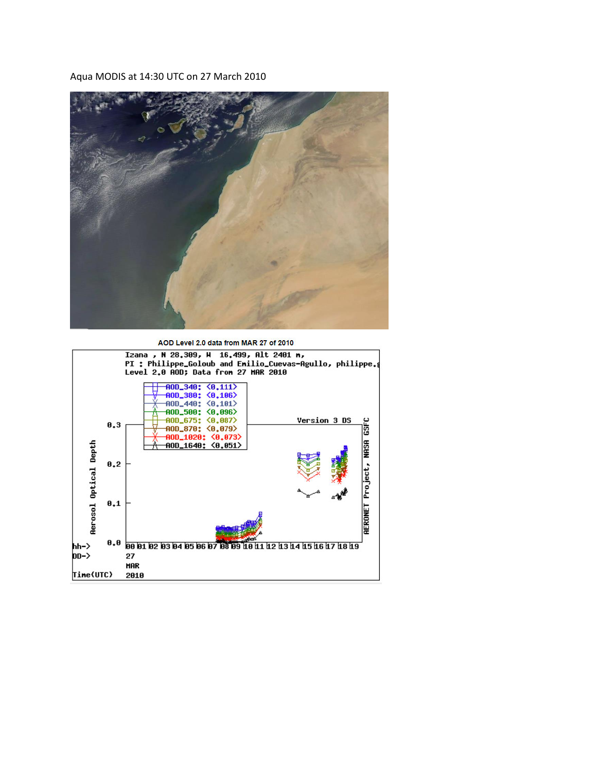Aqua MODIS at 14:30 UTC on 27 March 2010



AOD Level 2.0 data from MAR 27 of 2010